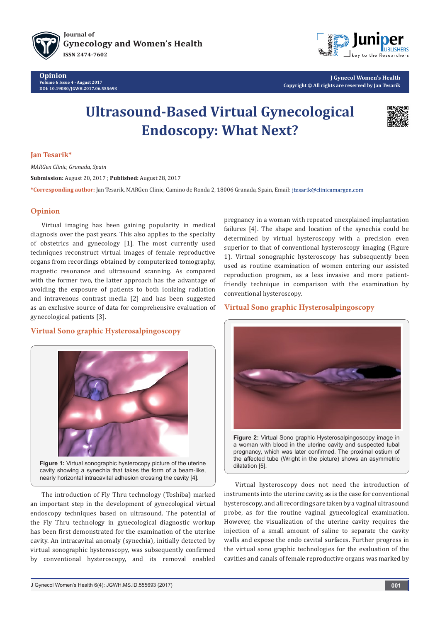



**J Gynecol Women's Health Copyright © All rights are reserved by Jan Tesarik**

# **Ultrasound-Based Virtual Gynecological Endoscopy: What Next?**



#### **Jan Tesarik\***

*MARGen Clinic, Granada, Spain*

**Submission:** August 20, 2017 ; **Published:** August 28, 2017

**\*Corresponding author:** Jan Tesarik, MARGen Clinic, Camino de Ronda 2, 18006 Granada, Spain, Email:

## **Opinion**

Virtual imaging has been gaining popularity in medical diagnosis over the past years. This also applies to the specialty of obstetrics and gynecology [1]. The most currently used techniques reconstruct virtual images of female reproductive organs from recordings obtained by computerized tomography, magnetic resonance and ultrasound scanning. As compared with the former two, the latter approach has the advantage of avoiding the exposure of patients to both ionizing radiation and intravenous contrast media [2] and has been suggested as an exclusive source of data for comprehensive evaluation of gynecological patients [3].

# **Virtual Sono graphic Hysterosalpingoscopy**



**Figure 1:** Virtual sonographic hysterocopy picture of the uterine cavity showing a synechia that takes the form of a beam-like, nearly horizontal intracavital adhesion crossing the cavity [4].

The introduction of Fly Thru technology (Toshiba) marked an important step in the development of gynecological virtual endoscopy techniques based on ultrasound. The potential of the Fly Thru technology in gynecological diagnostic workup has been first demonstrated for the examination of the uterine cavity. An intracavital anomaly (synechia), initially detected by virtual sonographic hysteroscopy, was subsequently confirmed by conventional hysteroscopy, and its removal enabled

pregnancy in a woman with repeated unexplained implantation failures [4]. The shape and location of the synechia could be determined by virtual hysteroscopy with a precision even superior to that of conventional hysteroscopy imaging (Figure 1). Virtual sonographic hysteroscopy has subsequently been used as routine examination of women entering our assisted reproduction program, as a less invasive and more patientfriendly technique in comparison with the examination by conventional hysteroscopy.

## **Virtual Sono graphic Hysterosalpingoscopy**



a woman with blood in the uterine cavity and suspected tubal pregnancy, which was later confirmed. The proximal ostium of the affected tube (Wright in the picture) shows an asymmetric dilatation [5].

Virtual hysteroscopy does not need the introduction of instruments into the uterine cavity, as is the case for conventional hysteroscopy, and all recordings are taken by a vaginal ultrasound probe, as for the routine vaginal gynecological examination. However, the visualization of the uterine cavity requires the injection of a small amount of saline to separate the cavity walls and expose the endo cavital surfaces. Further progress in the virtual sono graphic technologies for the evaluation of the cavities and canals of female reproductive organs was marked by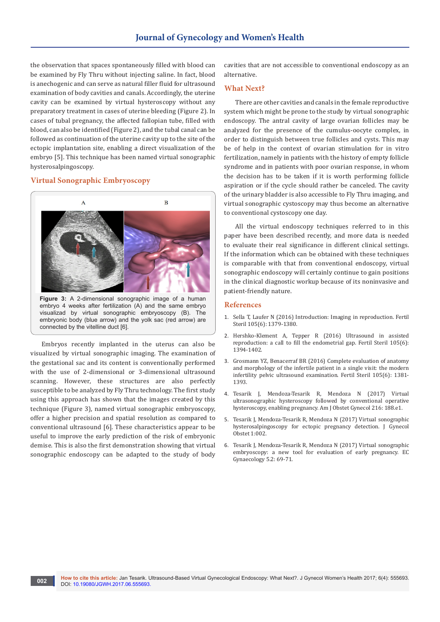the observation that spaces spontaneously filled with blood can be examined by Fly Thru without injecting saline. In fact, blood is anechogenic and can serve as natural filler fluid for ultrasound examination of body cavities and canals. Accordingly, the uterine cavity can be examined by virtual hysteroscopy without any preparatory treatment in cases of uterine bleeding (Figure 2). In cases of tubal pregnancy, the affected fallopian tube, filled with blood, can also be identified (Figure 2), and the tubal canal can be followed as continuation of the uterine cavity up to the site of the ectopic implantation site, enabling a direct visualization of the embryo [5]. This technique has been named virtual sonographic hysterosalpingoscopy.

## **Virtual Sonographic Embryoscopy**



Embryos recently implanted in the uterus can also be visualized by virtual sonographic imaging. The examination of the gestational sac and its content is conventionally performed with the use of 2-dimensional or 3-dimensional ultrasound scanning. However, these structures are also perfectly susceptible to be analyzed by Fly Thru technology. The first study using this approach has shown that the images created by this technique (Figure 3), named virtual sonographic embryoscopy, offer a higher precision and spatial resolution as compared to conventional ultrasound [6]. These characteristics appear to be useful to improve the early prediction of the risk of embryonic demise. This is also the first demonstration showing that virtual sonographic endoscopy can be adapted to the study of body cavities that are not accessible to conventional endoscopy as an alternative.

#### **What Next?**

There are other cavities and canals in the female reproductive system which might be prone to the study by virtual sonographic endoscopy. The antral cavity of large ovarian follicles may be analyzed for the presence of the cumulus-oocyte complex, in order to distinguish between true follicles and cysts. This may be of help in the context of ovarian stimulation for in vitro fertilization, namely in patients with the history of empty follicle syndrome and in patients with poor ovarian response, in whom the decision has to be taken if it is worth performing follicle aspiration or if the cycle should rather be canceled. The cavity of the urinary bladder is also accessible to Fly Thru imaging, and virtual sonographic cystoscopy may thus become an alternative to conventional cystoscopy one day.

All the virtual endoscopy techniques referred to in this paper have been described recently, and more data is needed to evaluate their real significance in different clinical settings. If the information which can be obtained with these techniques is comparable with that from conventional endoscopy, virtual sonographic endoscopy will certainly continue to gain positions in the clinical diagnostic workup because of its noninvasive and patient-friendly nature.

#### **References**

- 1. [Sella T, Laufer N \(2016\) Introduction: Imaging in reproduction. Fertil](https://www.ncbi.nlm.nih.gov/pubmed/27117374)  [Steril 105\(6\): 1379-1380.](https://www.ncbi.nlm.nih.gov/pubmed/27117374)
- 2. [Hershko-Klement A, Tepper R \(2016\) Ultrasound in assisted](https://www.ncbi.nlm.nih.gov/pubmed/27140291)  [reproduction: a call to fill the endometrial gap. Fertil Steril 105\(6\):](https://www.ncbi.nlm.nih.gov/pubmed/27140291)  [1394-1402.](https://www.ncbi.nlm.nih.gov/pubmed/27140291)
- 3. [Grosmann YZ, Benacerraf BR \(2016\) Complete evaluation of anatomy](https://www.ncbi.nlm.nih.gov/pubmed/27054310)  [and morphology of the infertile patient in a single visit: the modern](https://www.ncbi.nlm.nih.gov/pubmed/27054310)  [infertility pelvic ultrasound examination. Fertil Steril 105\(6\): 1381-](https://www.ncbi.nlm.nih.gov/pubmed/27054310) [1393.](https://www.ncbi.nlm.nih.gov/pubmed/27054310)
- 4. [Tesarik J, Mendoza-Tesarik R, Mendoza N \(2017\) Virtual](http://www.ajog.org/article/S0002-9378(16)30788-8/pdfSummary)  [ultrasonographic hysteroscopy followed by conventional operative](http://www.ajog.org/article/S0002-9378(16)30788-8/pdfSummary)  [hysteroscopy, enabling pregnancy. Am J Obstet Gynecol 216: 188.e1.](http://www.ajog.org/article/S0002-9378(16)30788-8/pdfSummary)
- 5. Tesarik J, Mendoza-Tesarik R, Mendoza N (2017) Virtual sonographic hysterosalpingoscopy for ectopic pregnancy detection. J Gynecol Obstet 1:002.
- 6. [Tesarik J, Mendoza-Tesarik R, Mendoza N \(2017\) Virtual sonographic](https://www.ecronicon.com/ecgy/pdf/ECGY-05-00123.pdf)  [embryoscopy: a new tool for evaluation of early pregnancy. EC](https://www.ecronicon.com/ecgy/pdf/ECGY-05-00123.pdf)  [Gynaecology 5.2: 69-71.](https://www.ecronicon.com/ecgy/pdf/ECGY-05-00123.pdf)